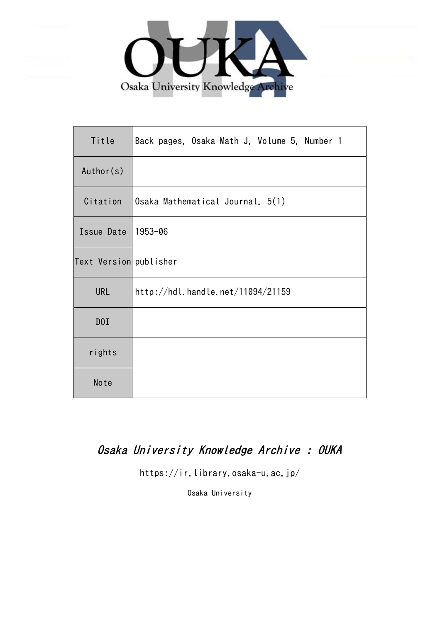

| Title                  | Back pages, Osaka Math J, Volume 5, Number 1 |
|------------------------|----------------------------------------------|
| Author(s)              |                                              |
| Citation               | Osaka Mathematical Journal. 5(1)             |
| Issue Date             | 1953-06                                      |
| Text Version publisher |                                              |
| <b>URL</b>             | http://hdl.handle.net/11094/21159            |
| D0I                    |                                              |
| rights                 |                                              |
| Note                   |                                              |

## Osaka University Knowledge Archive : OUKA

https://ir.library.osaka-u.ac.jp/

Osaka University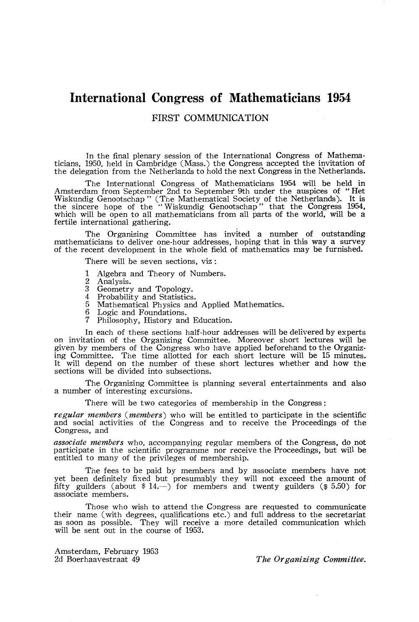## **International Congress of Mathematicians 1954**

FIRST COMMUNICATION

In the final plenary session of the International Congress of Mathematicians, 1950, held in Cambridge (Mass.) the Congress accepted the invitation of the delegation from the Netherlands to hold the next Congress in the Netherlands.

The International Congress of Mathematicians 1954 will be held in Amsterdam from September 2nd to September 9th under the auspices of " Het Wiskundig Genootschap " (The Mathematical Society of the Netherlands). It is the sincere hope of the "Wiskundig Genootschap" that the Congress 1954, which will be open to all mathematicians from all parts of the world, will be a fertile international gathering.

The Organizing Committee has invited a number of outstanding mathematicians to deliver one-hour addresses, hoping that in this way a survey of the recent development in the whole field of mathematics may be furnished.

There will be seven sections, viz :

- 1 Algebra and Theory of Numbers.<br>2 Analysis
- 2 Analysis.<br>3 Geometry
- 3 Geometry and Topology.<br>4 Probability and Statistics
- 4 Probability and Statistics.<br>5 Mathematical Physics and
- 5 Mathematical Physics and Applied Mathematics.<br>6 Logic and Foundations.
- 6 Logic and Foundations.<br>7 Philosophy, History and
- 7 Philosophy, History and Education.

In each of these sections half-hour addresses will be delivered by experts on invitation of the Organizing Committee. Moreover short lectures will be given by members of the Congress who have applied beforehand to the Organizing Committee. The time allotted for each short lecture will be 15 minutes. It will depend on the number of these short lectures whether and how the sections will be divided into subsections.

The Organizing Committee is planning several entertainments and also a number of interesting excursions.

There will be two categories of membership in the Congress:

*regular members {members)* who will be entitled to participate in the scientific and social activities of the Congress and to receive the Proceedings of the Congress, and

*associate members* who, accompanying regular members of the Congress, do not participate in the scientific programme nor receive the Proceedings, but will be entitled to many of the privileges of membership.

The fees to be paid by members and by associate members have not yet been definitely fixed but presumably they will not exceed the amount of fifty guilders (about  $\$$  14. $-)$  for members and twenty guilders ( $\$$  5.50) for associate members.

Those who wish to attend the Congress are requested to communicate their name (with degrees, qualifications etc.) and full address to the secretariat as soon as possible. They will receive a more detailed communication which will be sent out in the course of 1953.

Amsterdam, February 1953

2d Boerhaavestraat 49 *The Organizing Committee,*